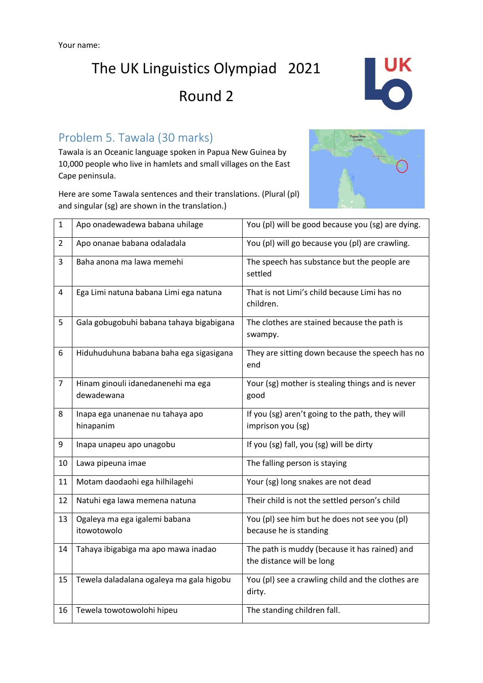

### Problem 5. Tawala (30 marks)

Tawala is an Oceanic language spoken in Papua New Guinea by 10,000 people who live in hamlets and small villages on the East Cape peninsula.

Here are some Tawala sentences and their translations. (Plural (pl) and singular (sg) are shown in the translation.)



| $\mathbf{1}$   | Apo onadewadewa babana uhilage                   | You (pl) will be good because you (sg) are dying.                          |  |  |  |
|----------------|--------------------------------------------------|----------------------------------------------------------------------------|--|--|--|
| $\overline{2}$ | Apo onanae babana odaladala                      | You (pl) will go because you (pl) are crawling.                            |  |  |  |
| 3              | Baha anona ma lawa memehi                        | The speech has substance but the people are<br>settled                     |  |  |  |
| 4              | Ega Limi natuna babana Limi ega natuna           | That is not Limi's child because Limi has no<br>children.                  |  |  |  |
| 5              | Gala gobugobuhi babana tahaya bigabigana         | The clothes are stained because the path is<br>swampy.                     |  |  |  |
| 6              | Hiduhuduhuna babana baha ega sigasigana          | They are sitting down because the speech has no<br>end                     |  |  |  |
| $\overline{7}$ | Hinam ginouli idanedanenehi ma ega<br>dewadewana | Your (sg) mother is stealing things and is never<br>good                   |  |  |  |
| 8              | Inapa ega unanenae nu tahaya apo<br>hinapanim    | If you (sg) aren't going to the path, they will<br>imprison you (sg)       |  |  |  |
| 9              | Inapa unapeu apo unagobu                         | If you (sg) fall, you (sg) will be dirty                                   |  |  |  |
| 10             | Lawa pipeuna imae                                | The falling person is staying                                              |  |  |  |
| 11             | Motam daodaohi ega hilhilagehi                   | Your (sg) long snakes are not dead                                         |  |  |  |
| 12             | Natuhi ega lawa memena natuna                    | Their child is not the settled person's child                              |  |  |  |
| 13             | Ogaleya ma ega igalemi babana<br>itowotowolo     | You (pl) see him but he does not see you (pl)<br>because he is standing    |  |  |  |
| 14             | Tahaya ibigabiga ma apo mawa inadao              | The path is muddy (because it has rained) and<br>the distance will be long |  |  |  |
| 15             | Tewela daladalana ogaleya ma gala higobu         | You (pl) see a crawling child and the clothes are<br>dirty.                |  |  |  |
| 16             | Tewela towotowolohi hipeu                        | The standing children fall.                                                |  |  |  |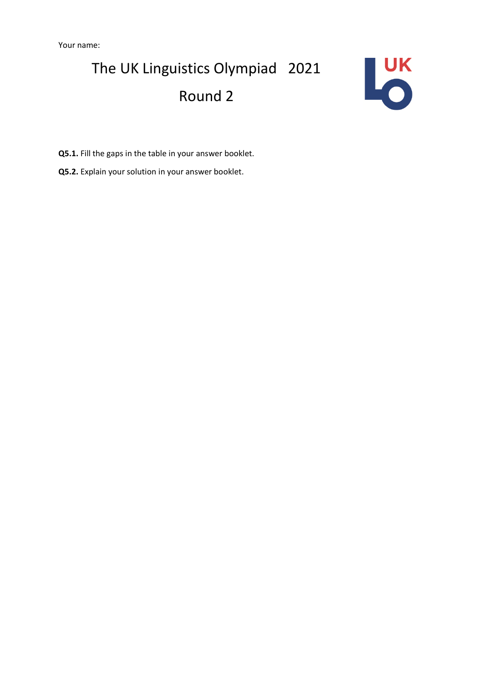

**Q5.1.** Fill the gaps in the table in your answer booklet.

**Q5.2.** Explain your solution in your answer booklet.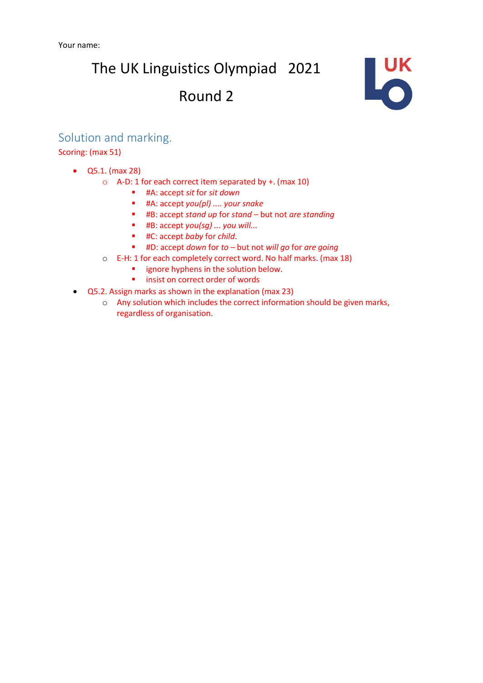The UK Linguistics Olympiad 2021

### Round 2



#### Solution and marking.

Scoring: (max 51)

- Q5.1. (max 28)
	- o A-D: 1 for each correct item separated by +. (max 10)
		- #A: accept *sit* for *sit down*
		- #A: accept *you(pl) .... your snake*
		- #B: accept *stand up* for *stand*  but not *are standing*
		- #B: accept *you(sg) ... you will...*
		- #C: accept *baby* for *child*.
		- #D: accept *down* for *to* but not *will go* for *are going*
	- o E-H: 1 for each completely correct word. No half marks. (max 18)
		- **■** ignore hyphens in the solution below.
		- insist on correct order of words
- Q5.2. Assign marks as shown in the explanation (max 23)
	- o Any solution which includes the correct information should be given marks, regardless of organisation.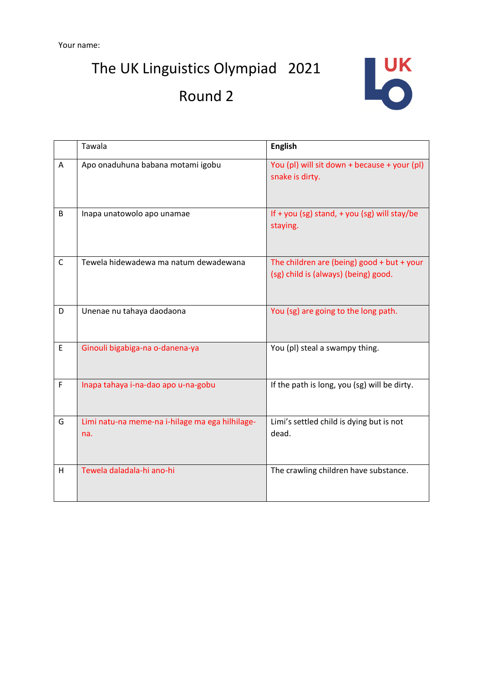The UK Linguistics Olympiad 2021

## Round 2



|              | Tawala                                                 | <b>English</b>                                                                     |
|--------------|--------------------------------------------------------|------------------------------------------------------------------------------------|
| A            | Apo onaduhuna babana motami igobu                      | You (pl) will sit down + because + your (pl)<br>snake is dirty.                    |
| B            | Inapa unatowolo apo unamae                             | If + you (sg) stand, + you (sg) will stay/be<br>staying.                           |
| $\mathsf{C}$ | Tewela hidewadewa ma natum dewadewana                  | The children are (being) good + but + your<br>(sg) child is (always) (being) good. |
| D            | Unenae nu tahaya daodaona                              | You (sg) are going to the long path.                                               |
| E            | Ginouli bigabiga-na o-danena-ya                        | You (pl) steal a swampy thing.                                                     |
| F            | Inapa tahaya i-na-dao apo u-na-gobu                    | If the path is long, you (sg) will be dirty.                                       |
| G            | Limi natu-na meme-na i-hilage ma ega hilhilage-<br>na. | Limi's settled child is dying but is not<br>dead.                                  |
| H            | Tewela daladala-hi ano-hi                              | The crawling children have substance.                                              |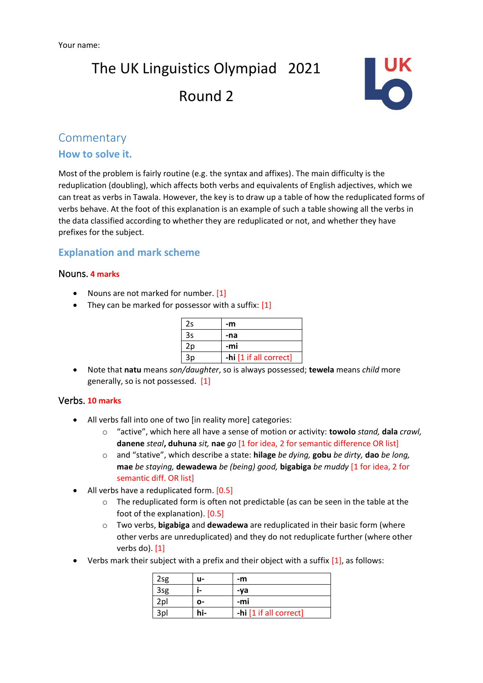

#### **Commentary**

#### **How to solve it.**

Most of the problem is fairly routine (e.g. the syntax and affixes). The main difficulty is the reduplication (doubling), which affects both verbs and equivalents of English adjectives, which we can treat as verbs in Tawala. However, the key is to draw up a table of how the reduplicated forms of verbs behave. At the foot of this explanation is an example of such a table showing all the verbs in the data classified according to whether they are reduplicated or not, and whether they have prefixes for the subject.

#### **Explanation and mark scheme**

#### Nouns. **4 marks**

- Nouns are not marked for number. [1]
- They can be marked for possessor with a suffix: [1]

| 2s | -m                     |
|----|------------------------|
| 3s | -na                    |
| 2p | -mi                    |
| 3p | -hi [1 if all correct] |

• Note that **natu** means *son/daughter*, so is always possessed; **tewela** means *child* more generally, so is not possessed. [1]

#### Verbs. **10 marks**

- All verbs fall into one of two [in reality more] categories:
	- o "active", which here all have a sense of motion or activity: **towolo** *stand,* **dala** *crawl,*  **danene** *steal***, duhuna** *sit,* **nae** *go* [1 for idea, 2 for semantic difference OR list]
	- o and "stative", which describe a state: **hilage** *be dying,* **gobu** *be dirty,* **dao** *be long,*  **mae** *be staying,* **dewadewa** *be (being) good,* **bigabiga** *be muddy* [1 for idea, 2 for semantic diff. OR list]
- All verbs have a reduplicated form. [0.5]
	- o The reduplicated form is often not predictable (as can be seen in the table at the foot of the explanation). [0.5]
	- o Two verbs, **bigabiga** and **dewadewa** are reduplicated in their basic form (where other verbs are unreduplicated) and they do not reduplicate further (where other verbs do). [1]
- Verbs mark their subject with a prefix and their object with a suffix  $[1]$ , as follows:

| 2 <sub>Sg</sub> | u- | -m                     |
|-----------------|----|------------------------|
| 3sg             |    | -va                    |
| 2pl             | ი- | -mi                    |
| 3pl             |    | -hi [1 if all correct] |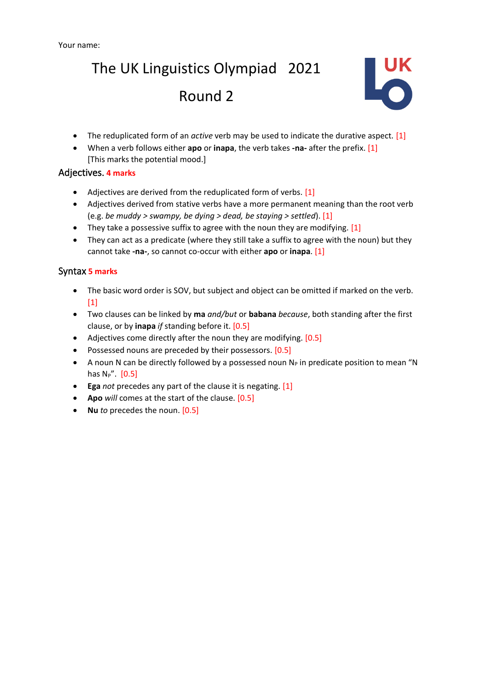

- The reduplicated form of an *active* verb may be used to indicate the durative aspect. [1]
- When a verb follows either **apo** or **inapa**, the verb takes **-na-** after the prefix. [1] [This marks the potential mood.]

#### Adjectives. **4 marks**

- Adjectives are derived from the reduplicated form of verbs. [1]
- Adjectives derived from stative verbs have a more permanent meaning than the root verb (e.g. *be muddy > swampy, be dying > dead, be staying > settled*). [1]
- They take a possessive suffix to agree with the noun they are modifying. [1]
- They can act as a predicate (where they still take a suffix to agree with the noun) but they cannot take **-na-**, so cannot co-occur with either **apo** or **inapa**. [1]

#### Syntax **5 marks**

- The basic word order is SOV, but subject and object can be omitted if marked on the verb.  $[1]$
- Two clauses can be linked by **ma** *and/but* or **babana** *because*, both standing after the first clause, or by **inapa** *if* standing before it. [0.5]
- Adjectives come directly after the noun they are modifying. [0.5]
- Possessed nouns are preceded by their possessors. [0.5]
- A noun N can be directly followed by a possessed noun  $N_P$  in predicate position to mean "N has  $N_P$ ".  $[0.5]$
- **Ega** *not* precedes any part of the clause it is negating. [1]
- **Apo** *will* comes at the start of the clause. [0.5]
- **Nu** *to* precedes the noun. [0.5]